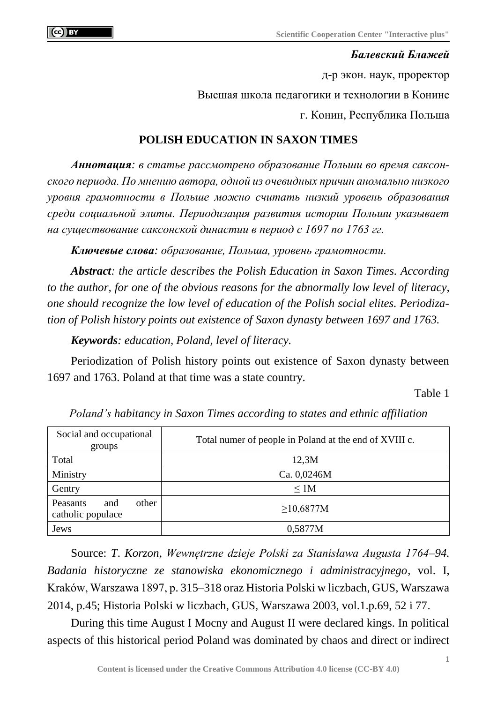## *Балевский Блажей*

д-р экон. наук, проректор Высшая школа педагогики и технологии в Конине г. Конин, Республика Польша

## **POLISH EDUCATION IN SAXON TIMES**

*Аннотация: в статье рассмотрено образование Польши во время саксонского периода. По мнению автора, одной из очевидных причин аномально низкого уровня грамотности в Польше можно считать низкий уровень образования среди социальной элиты. Периодизация развития истории Польши указывает на существование саксонской династии в период с 1697 по 1763 гг.*

*Ключевые слова: образование, Польша, уровень грамотности.*

*Abstract: the article describes the Polish Education in Saxon Times. According to the author, for one of the obvious reasons for the abnormally low level of literacy, one should recognize the low level of education of the Polish social elites. Periodization of Polish history points out existence of Saxon dynasty between 1697 and 1763.*

*Keywords: education, Poland, level of literacy.*

Periodization of Polish history points out existence of Saxon dynasty between 1697 and 1763. Poland at that time was a state country.

Table 1

| Social and occupational<br>groups             | Total numer of people in Poland at the end of XVIII c. |  |  |
|-----------------------------------------------|--------------------------------------------------------|--|--|
| Total                                         | 12,3M                                                  |  |  |
| Ministry                                      | Ca. 0,0246M                                            |  |  |
| Gentry                                        | $\leq 1M$                                              |  |  |
| other<br>Peasants<br>and<br>catholic populace | ≥10,6877M                                              |  |  |
| Jews                                          | 0,5877M                                                |  |  |

*Poland's habitancy in Saxon Times according to states and ethnic affiliation*

Source: *T*. *Korzon*, *Wewnętrzne dzieje Polski za Stanisława Augusta 1764–94. Badania historyczne ze stanowiska ekonomicznego i administracyjnego*, vol. I, Kraków, Warszawa 1897, p. 315–318 oraz Historia Polski w liczbach, GUS, Warszawa 2014, p.45; Historia Polski w liczbach, GUS, Warszawa 2003, vol.1.p.69, 52 i 77.

During this time August I Mocny and August II were declared kings. In political aspects of this historical period Poland was dominated by chaos and direct or indirect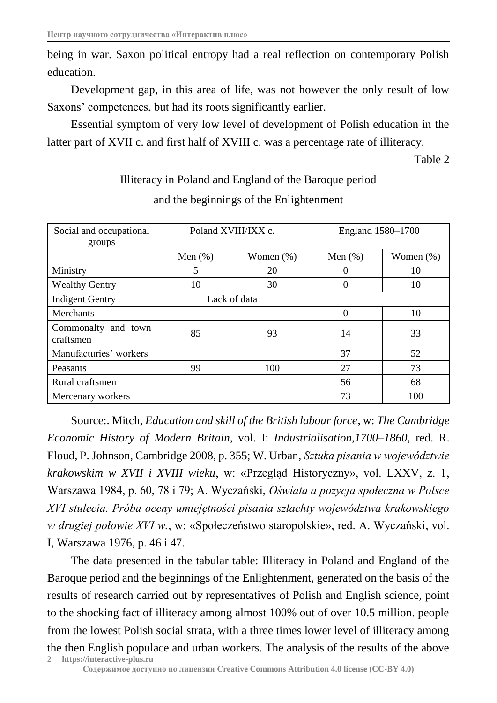being in war. Saxon political entropy had a real reflection on contemporary Polish education.

Development gap, in this area of life, was not however the only result of low Saxons' competences, but had its roots significantly earlier.

Essential symptom of very low level of development of Polish education in the latter part of XVII c. and first half of XVIII c. was a percentage rate of illiteracy.

Table 2

| Social and occupational<br>groups | Poland XVIII/IXX c. |              | England 1580–1700 |              |
|-----------------------------------|---------------------|--------------|-------------------|--------------|
|                                   | Men $(\%)$          | Women $(\%)$ | Men $(\%)$        | Women $(\%)$ |
| Ministry                          | 5                   | 20           | 0                 | 10           |
| <b>Wealthy Gentry</b>             | 10                  | 30           | 0                 | 10           |
| <b>Indigent Gentry</b>            | Lack of data        |              |                   |              |
| <b>Merchants</b>                  |                     |              | 0                 | 10           |
| Commonalty and town<br>craftsmen  | 85                  | 93           | 14                | 33           |
| Manufacturies' workers            |                     |              | 37                | 52           |
| Peasants                          | 99                  | 100          | 27                | 73           |
| Rural craftsmen                   |                     |              | 56                | 68           |
| Mercenary workers                 |                     |              | 73                | 100          |

Illiteracy in Poland and England of the Baroque period and the beginnings of the Enlightenment

Source:. Mitch, *Education and skill of the British labour force*, w: *The Cambridge Economic History of Modern Britain*, vol. I: *Industrialisation,1700–1860*, red. R. Floud, P. Johnson, Cambridge 2008, p. 355; W. Urban, *Sztuka pisania w województwie krakowskim w XVII i XVIII wieku*, w: «Przegląd Historyczny», vol. LXXV, z. 1, Warszawa 1984, p. 60, 78 i 79; A. Wyczański, *Oświata a pozycja społeczna w Polsce XVI stulecia. Próba oceny umiejętności pisania szlachty województwa krakowskiego w drugiej połowie XVI w.*, w: «Społeczeństwo staropolskie», red. A. Wyczański, vol. I, Warszawa 1976, p. 46 i 47.

**2 https://interactive-plus.ru** The data presented in the tabular table: Illiteracy in Poland and England of the Baroque period and the beginnings of the Enlightenment, generated on the basis of the results of research carried out by representatives of Polish and English science, point to the shocking fact of illiteracy among almost 100% out of over 10.5 million. people from the lowest Polish social strata, with a three times lower level of illiteracy among the then English populace and urban workers. The analysis of the results of the above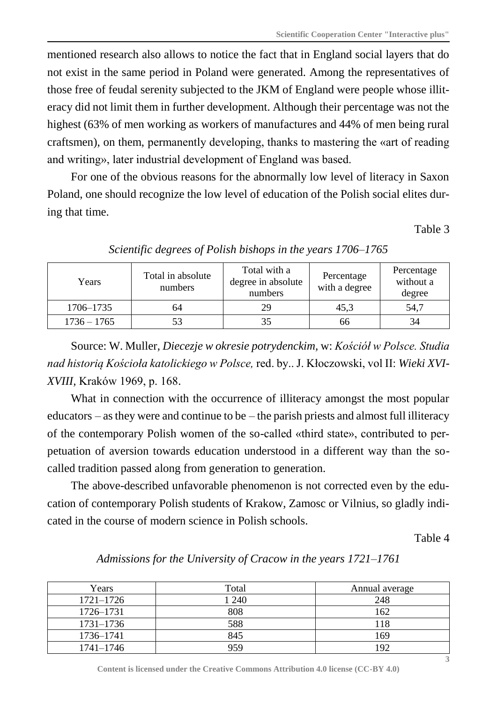mentioned research also allows to notice the fact that in England social layers that do not exist in the same period in Poland were generated. Among the representatives of those free of feudal serenity subjected to the JKM of England were people whose illiteracy did not limit them in further development. Although their percentage was not the highest (63% of men working as workers of manufactures and 44% of men being rural craftsmen), on them, permanently developing, thanks to mastering the «art of reading and writing», later industrial development of England was based.

For one of the obvious reasons for the abnormally low level of literacy in Saxon Poland, one should recognize the low level of education of the Polish social elites during that time.

Table 3

| Years         | Total in absolute<br>numbers | Total with a<br>degree in absolute<br>numbers |      | Percentage<br>without a<br>degree |
|---------------|------------------------------|-----------------------------------------------|------|-----------------------------------|
| 1706–1735     | 64                           | 29                                            | 45,3 | 54,7                              |
| $1736 - 1765$ | 53                           |                                               | 66   | 34                                |

*Scientific degrees of Polish bishops in the years 1706–1765*

Source: W. Muller, *Diecezje w okresie potrydenckim,* w: *Kościół w Polsce. Studia nad historią Kościoła katolickiego w Polsce,* red. by.. J. Kłoczowski, vol II: *Wieki XVI-XVIII,* Kraków 1969, p. 168.

What in connection with the occurrence of illiteracy amongst the most popular educators – as they were and continue to be – the parish priests and almost full illiteracy of the contemporary Polish women of the so-called «third state», contributed to perpetuation of aversion towards education understood in a different way than the socalled tradition passed along from generation to generation.

The above-described unfavorable phenomenon is not corrected even by the education of contemporary Polish students of Krakow, Zamosc or Vilnius, so gladly indicated in the course of modern science in Polish schools.

Table 4

| Years         | Total | Annual average |
|---------------|-------|----------------|
| $1721 - 1726$ | 1240  | 248            |
| 1726-1731     | 808   | 162            |
| $1731 - 1736$ | 588   | 118            |
| 1736-1741     | 845   | 169            |
| $1741 - 1746$ | 959   | 192            |

*Admissions for the University of Cracow in the years 1721*–*1761*

**Content is licensed under the Creative Commons Attribution 4.0 license (CC-BY 4.0)**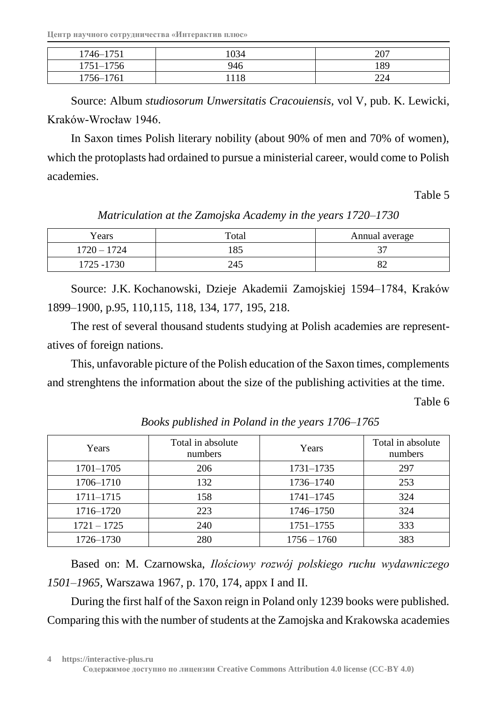**Центр научного сотрудничества «Интерактив плюс»**

| 1746–1751     | 034 | 207       |
|---------------|-----|-----------|
| $1751 - 1756$ | 946 | 189       |
| 1756-1761     | 8   | າາ<br>∠∠⊣ |

Source: Album *studiosorum Unwersitatis Cracouiensis,* vol V, pub. K. Lewicki, Kraków-Wrocław 1946.

In Saxon times Polish literary nobility (about 90% of men and 70% of women), which the protoplasts had ordained to pursue a ministerial career, would come to Polish academies.

Table 5

| Years         | Total | Annual average           |
|---------------|-------|--------------------------|
| $1720 - 1724$ | 185   | $\overline{\phantom{a}}$ |
| 1725 - 1730   | 245   | 82                       |

*Matriculation at the Zamojska Academy in the years 1720–1730*

Source: J.K. Kochanowski, Dzieje Akademii Zamojskiej 1594–1784, Kraków 1899–1900, p.95, 110,115, 118, 134, 177, 195, 218.

The rest of several thousand students studying at Polish academies are representatives of foreign nations.

This, unfavorable picture of the Polish education of the Saxon times, complements and strenghtens the information about the size of the publishing activities at the time.

Table 6

| Years         | Total in absolute<br>numbers | Years         | Total in absolute<br>numbers |
|---------------|------------------------------|---------------|------------------------------|
| $1701 - 1705$ | 206                          | 1731-1735     | 297                          |
| 1706-1710     | 132                          | 1736-1740     | 253                          |
| $1711 - 1715$ | 158                          | $1741 - 1745$ | 324                          |
| 1716-1720     | 223                          | 1746-1750     | 324                          |
| $1721 - 1725$ | 240                          | $1751 - 1755$ | 333                          |
| 1726-1730     | 280                          | $1756 - 1760$ | 383                          |

*Books published in Poland in the years 1706–1765*

Based on: M. Czarnowska, *Ilościowy rozwój polskiego ruchu wydawniczego 1501–1965,* Warszawa 1967, p. 170, 174, appx I and II.

During the first half of the Saxon reign in Poland only 1239 books were published. Comparing this with the number of students at the Zamojska and Krakowska academies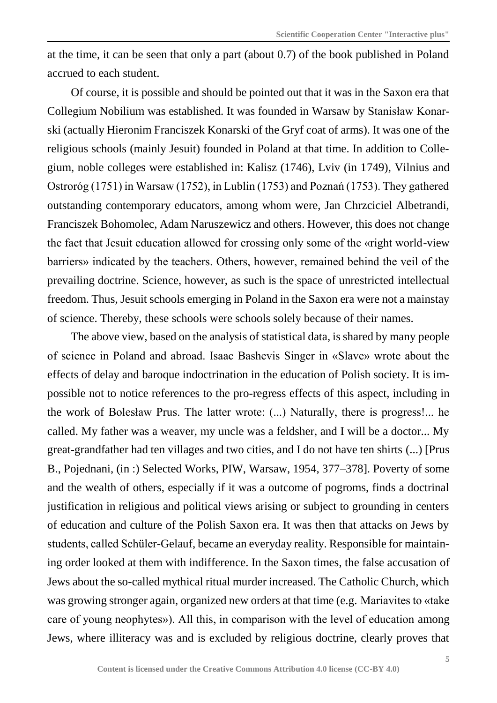at the time, it can be seen that only a part (about 0.7) of the book published in Poland accrued to each student.

Of course, it is possible and should be pointed out that it was in the Saxon era that Collegium Nobilium was established. It was founded in Warsaw by Stanisław Konarski (actually Hieronim Franciszek Konarski of the Gryf coat of arms). It was one of the religious schools (mainly Jesuit) founded in Poland at that time. In addition to Collegium, noble colleges were established in: Kalisz (1746), Lviv (in 1749), Vilnius and Ostroróg (1751) in Warsaw (1752), in Lublin (1753) and Poznań (1753). They gathered outstanding contemporary educators, among whom were, Jan Chrzciciel Albetrandi, Franciszek Bohomolec, Adam Naruszewicz and others. However, this does not change the fact that Jesuit education allowed for crossing only some of the «right world-view barriers» indicated by the teachers. Others, however, remained behind the veil of the prevailing doctrine. Science, however, as such is the space of unrestricted intellectual freedom. Thus, Jesuit schools emerging in Poland in the Saxon era were not a mainstay of science. Thereby, these schools were schools solely because of their names.

The above view, based on the analysis of statistical data, is shared by many people of science in Poland and abroad. Isaac Bashevis Singer in «Slave» wrote about the effects of delay and baroque indoctrination in the education of Polish society. It is impossible not to notice references to the pro-regress effects of this aspect, including in the work of Bolesław Prus. The latter wrote: (...) Naturally, there is progress!... he called. My father was a weaver, my uncle was a feldsher, and I will be a doctor... My great-grandfather had ten villages and two cities, and I do not have ten shirts (...) [Prus B., Pojednani, (in :) Selected Works, PIW, Warsaw, 1954, 377–378]. Poverty of some and the wealth of others, especially if it was a outcome of pogroms, finds a doctrinal justification in religious and political views arising or subject to grounding in centers of education and culture of the Polish Saxon era. It was then that attacks on Jews by students, called Schüler-Gelauf, became an everyday reality. Responsible for maintaining order looked at them with indifference. In the Saxon times, the false accusation of Jews about the so-called mythical ritual murder increased. The Catholic Church, which was growing stronger again, organized new orders at that time (e.g. Mariavites to «take care of young neophytes»). All this, in comparison with the level of education among Jews, where illiteracy was and is excluded by religious doctrine, clearly proves that